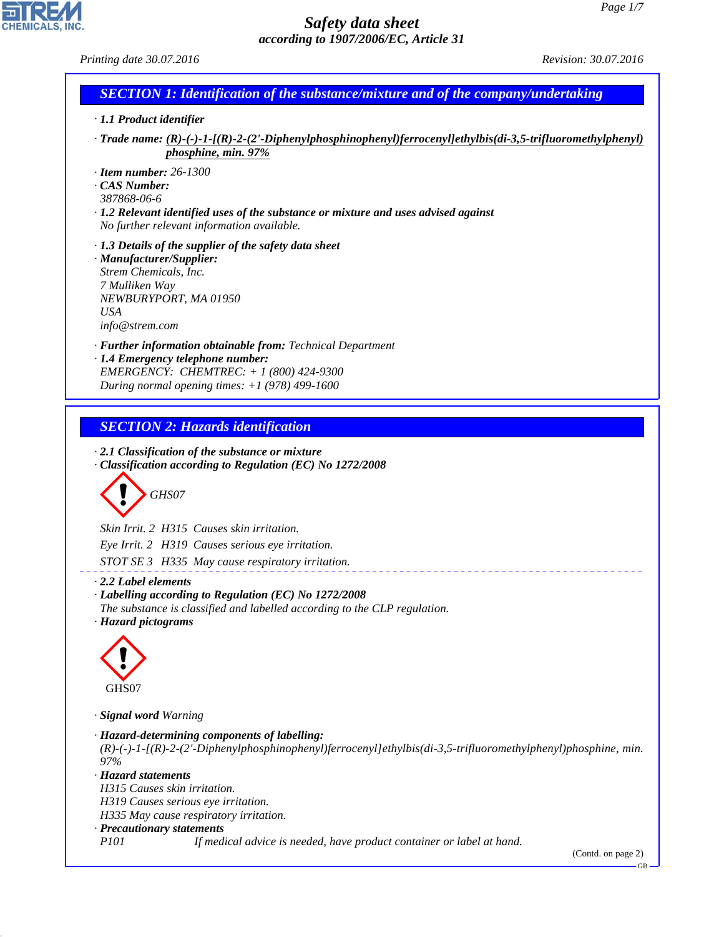CHEMICALS, INC.

| Printing date 30.07.2016                                                                                                                                                                                                                                                                                                                               | Revision: 30.07.2016 |
|--------------------------------------------------------------------------------------------------------------------------------------------------------------------------------------------------------------------------------------------------------------------------------------------------------------------------------------------------------|----------------------|
| <b>SECTION 1: Identification of the substance/mixture and of the company/undertaking</b>                                                                                                                                                                                                                                                               |                      |
| · 1.1 Product identifier                                                                                                                                                                                                                                                                                                                               |                      |
| $\cdot$ Trade name: (R)-(-)-1-[(R)-2-(2'-Diphenylphosphinophenyl)ferrocenyl]ethylbis(di-3,5-trifluoromethylphenyl)<br>phosphine, min. 97%                                                                                                                                                                                                              |                      |
| $\cdot$ Item number: 26-1300                                                                                                                                                                                                                                                                                                                           |                      |
| $\cdot$ CAS Number:<br>387868-06-6                                                                                                                                                                                                                                                                                                                     |                      |
| $\cdot$ 1.2 Relevant identified uses of the substance or mixture and uses advised against                                                                                                                                                                                                                                                              |                      |
| No further relevant information available.                                                                                                                                                                                                                                                                                                             |                      |
| $\cdot$ 1.3 Details of the supplier of the safety data sheet                                                                                                                                                                                                                                                                                           |                      |
| · Manufacturer/Supplier:                                                                                                                                                                                                                                                                                                                               |                      |
| Strem Chemicals, Inc.<br>7 Mulliken Way                                                                                                                                                                                                                                                                                                                |                      |
| NEWBURYPORT, MA 01950                                                                                                                                                                                                                                                                                                                                  |                      |
| <b>USA</b>                                                                                                                                                                                                                                                                                                                                             |                      |
| info@strem.com                                                                                                                                                                                                                                                                                                                                         |                      |
| · <b>Further information obtainable from:</b> Technical Department<br>· 1.4 Emergency telephone number:                                                                                                                                                                                                                                                |                      |
| EMERGENCY: CHEMTREC: + 1 (800) 424-9300                                                                                                                                                                                                                                                                                                                |                      |
| During normal opening times: $+1$ (978) 499-1600                                                                                                                                                                                                                                                                                                       |                      |
|                                                                                                                                                                                                                                                                                                                                                        |                      |
| <b>SECTION 2: Hazards identification</b>                                                                                                                                                                                                                                                                                                               |                      |
| GHS07<br>Skin Irrit. 2 H315 Causes skin irritation.<br>Eye Irrit. 2 H319 Causes serious eye irritation.<br>STOT SE 3 H335 May cause respiratory irritation.<br>$\cdot$ 2.2 Label elements<br>· Labelling according to Regulation (EC) No 1272/2008<br>The substance is classified and labelled according to the CLP regulation.<br>· Hazard pictograms |                      |
| GHS07                                                                                                                                                                                                                                                                                                                                                  |                      |
|                                                                                                                                                                                                                                                                                                                                                        |                      |
|                                                                                                                                                                                                                                                                                                                                                        |                      |
| · Signal word Warning<br>$(R)$ -(-)-1-[ $(R)$ -2-(2'-Diphenylphosphinophenyl)ferrocenyl]ethylbis(di-3,5-trifluoromethylphenyl)phosphine, min.                                                                                                                                                                                                          |                      |
| · Hazard-determining components of labelling:<br>97%<br>· Hazard statements                                                                                                                                                                                                                                                                            |                      |
| H315 Causes skin irritation.                                                                                                                                                                                                                                                                                                                           |                      |
| H319 Causes serious eye irritation.                                                                                                                                                                                                                                                                                                                    |                      |
| H335 May cause respiratory irritation.                                                                                                                                                                                                                                                                                                                 |                      |
| · Precautionary statements<br><i>P101</i><br>If medical advice is needed, have product container or label at hand.                                                                                                                                                                                                                                     | (Contd. on page 2)   |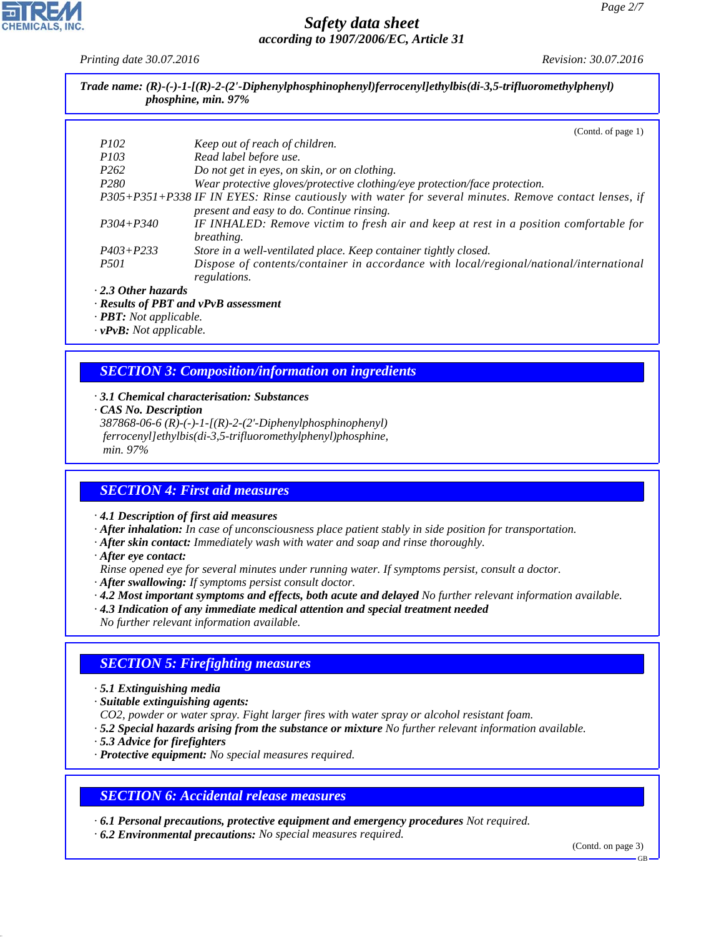*Printing date 30.07.2016 Revision: 30.07.2016*

| Trade name: $(R)-(-)-1-(R)-2-(2)-Diphenylphosphinophenyl)$ ferrocenyl lethylbis(di-3,5-trifluoromethylphenyl) |  |
|---------------------------------------------------------------------------------------------------------------|--|
| <i>phosphine, min.</i> 97%                                                                                    |  |

|                     | (Contd. of page $1$ )                                                                                 |
|---------------------|-------------------------------------------------------------------------------------------------------|
| <i>P102</i>         | Keep out of reach of children.                                                                        |
| <i>P103</i>         | Read label before use.                                                                                |
| P <sub>262</sub>    | Do not get in eyes, on skin, or on clothing.                                                          |
| P <sub>280</sub>    | Wear protective gloves/protective clothing/eye protection/face protection.                            |
|                     | P305+P351+P338 IF IN EYES: Rinse cautiously with water for several minutes. Remove contact lenses, if |
|                     | present and easy to do. Continue rinsing.                                                             |
| $P304 + P340$       | IF INHALED: Remove victim to fresh air and keep at rest in a position comfortable for                 |
|                     | <i>breathing.</i>                                                                                     |
| $P403 + P233$       | Store in a well-ventilated place. Keep container tightly closed.                                      |
| <i>P501</i>         | Dispose of contents/container in accordance with local/regional/national/international                |
|                     | regulations.                                                                                          |
| . 2.3 Other hazards |                                                                                                       |

*· 2.3 Other hazards*

*· Results of PBT and vPvB assessment*

*· PBT: Not applicable.*

*· vPvB: Not applicable.*

## *SECTION 3: Composition/information on ingredients*

*· 3.1 Chemical characterisation: Substances*

*· CAS No. Description*

*387868-06-6 (R)-(-)-1-[(R)-2-(2'-Diphenylphosphinophenyl) ferrocenyl]ethylbis(di-3,5-trifluoromethylphenyl)phosphine, min. 97%*

# *SECTION 4: First aid measures*

*· 4.1 Description of first aid measures*

*· After inhalation: In case of unconsciousness place patient stably in side position for transportation.*

- *· After skin contact: Immediately wash with water and soap and rinse thoroughly.*
- *· After eye contact:*

*Rinse opened eye for several minutes under running water. If symptoms persist, consult a doctor.*

- *· After swallowing: If symptoms persist consult doctor.*
- *· 4.2 Most important symptoms and effects, both acute and delayed No further relevant information available.*
- *· 4.3 Indication of any immediate medical attention and special treatment needed*
- *No further relevant information available.*

# *SECTION 5: Firefighting measures*

*· 5.1 Extinguishing media*

- *· Suitable extinguishing agents:*
- *CO2, powder or water spray. Fight larger fires with water spray or alcohol resistant foam.*
- *· 5.2 Special hazards arising from the substance or mixture No further relevant information available.*
- *· 5.3 Advice for firefighters*
- *· Protective equipment: No special measures required.*

#### *SECTION 6: Accidental release measures*

*· 6.1 Personal precautions, protective equipment and emergency procedures Not required.*

*· 6.2 Environmental precautions: No special measures required.*

(Contd. on page 3)

GB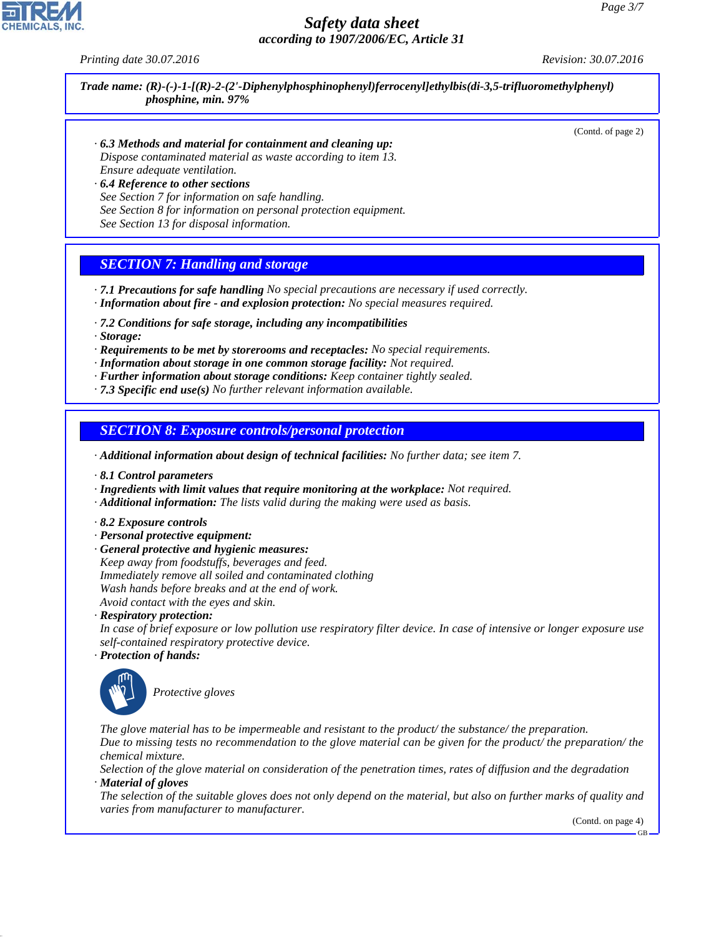*Printing date 30.07.2016 Revision: 30.07.2016*

*Trade name: (R)-(-)-1-[(R)-2-(2'-Diphenylphosphinophenyl)ferrocenyl]ethylbis(di-3,5-trifluoromethylphenyl) phosphine, min. 97%*

(Contd. of page 2)

- *· 6.3 Methods and material for containment and cleaning up: Dispose contaminated material as waste according to item 13. Ensure adequate ventilation.*
- *· 6.4 Reference to other sections See Section 7 for information on safe handling. See Section 8 for information on personal protection equipment. See Section 13 for disposal information.*

# *SECTION 7: Handling and storage*

- *· 7.1 Precautions for safe handling No special precautions are necessary if used correctly. · Information about fire - and explosion protection: No special measures required.*
- *· 7.2 Conditions for safe storage, including any incompatibilities*
- *· Storage:*
- *· Requirements to be met by storerooms and receptacles: No special requirements.*
- *· Information about storage in one common storage facility: Not required.*
- *· Further information about storage conditions: Keep container tightly sealed.*
- *· 7.3 Specific end use(s) No further relevant information available.*

#### *SECTION 8: Exposure controls/personal protection*

- *· Additional information about design of technical facilities: No further data; see item 7.*
- *· 8.1 Control parameters*
- *· Ingredients with limit values that require monitoring at the workplace: Not required.*
- *· Additional information: The lists valid during the making were used as basis.*
- *· 8.2 Exposure controls*
- *· Personal protective equipment:*
- *· General protective and hygienic measures: Keep away from foodstuffs, beverages and feed. Immediately remove all soiled and contaminated clothing Wash hands before breaks and at the end of work. Avoid contact with the eyes and skin.*

*· Respiratory protection:*

*In case of brief exposure or low pollution use respiratory filter device. In case of intensive or longer exposure use self-contained respiratory protective device.*

*· Protection of hands:*



\_S*Protective gloves*

*The glove material has to be impermeable and resistant to the product/ the substance/ the preparation. Due to missing tests no recommendation to the glove material can be given for the product/ the preparation/ the chemical mixture.*

*Selection of the glove material on consideration of the penetration times, rates of diffusion and the degradation · Material of gloves*

*The selection of the suitable gloves does not only depend on the material, but also on further marks of quality and varies from manufacturer to manufacturer.*

(Contd. on page 4)

GB

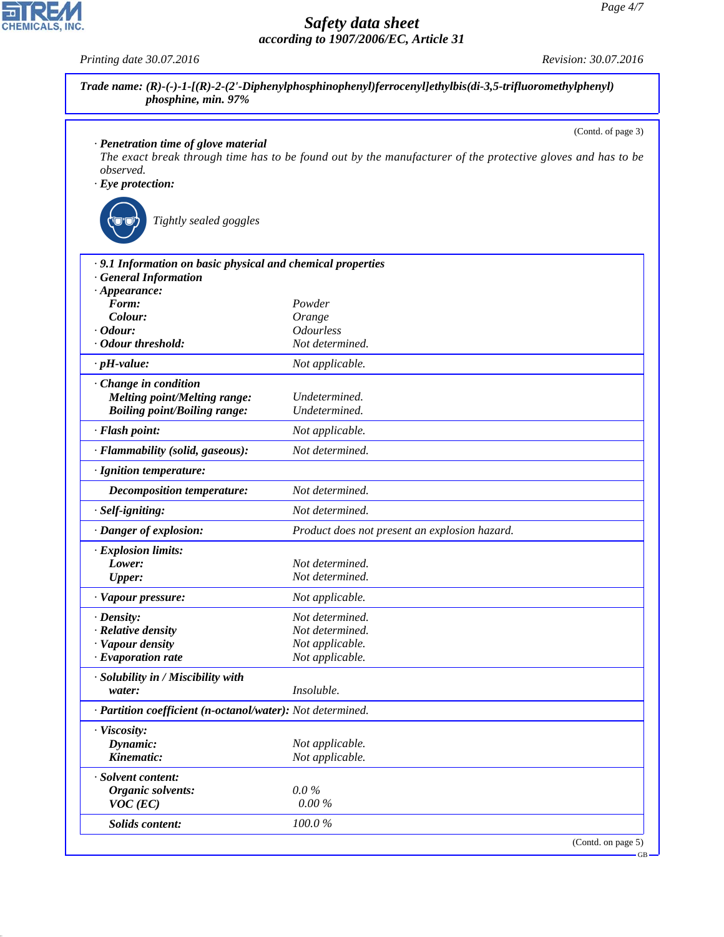|                                                             | (Contd. of page 3)                                                                                          |
|-------------------------------------------------------------|-------------------------------------------------------------------------------------------------------------|
| · Penetration time of glove material                        |                                                                                                             |
| observed.                                                   | The exact break through time has to be found out by the manufacturer of the protective gloves and has to be |
| $\cdot$ Eye protection:                                     |                                                                                                             |
|                                                             |                                                                                                             |
| Tightly sealed goggles                                      |                                                                                                             |
| · 9.1 Information on basic physical and chemical properties |                                                                                                             |
| <b>General Information</b>                                  |                                                                                                             |
| $\cdot$ Appearance:                                         |                                                                                                             |
| Form:                                                       | Powder                                                                                                      |
| Colour:                                                     | Orange                                                                                                      |
| $\cdot$ Odour:                                              | <i><b>Odourless</b></i>                                                                                     |
| · Odour threshold:                                          | Not determined.                                                                                             |
| $\cdot$ pH-value:                                           | Not applicable.                                                                                             |
| Change in condition                                         |                                                                                                             |
| <b>Melting point/Melting range:</b>                         | Undetermined.                                                                                               |
| <b>Boiling point/Boiling range:</b>                         | Undetermined.                                                                                               |
| · Flash point:                                              | Not applicable.                                                                                             |
| · Flammability (solid, gaseous):                            | Not determined.                                                                                             |
| · Ignition temperature:                                     |                                                                                                             |
| Decomposition temperature:                                  | Not determined.                                                                                             |
| · Self-igniting:                                            | Not determined.                                                                                             |
| · Danger of explosion:                                      | Product does not present an explosion hazard.                                                               |
| · Explosion limits:                                         |                                                                                                             |
| Lower:                                                      | Not determined.                                                                                             |
| <b>Upper:</b>                                               | Not determined.                                                                                             |
| · Vapour pressure:                                          | Not applicable.                                                                                             |
| $\cdot$ Density:                                            | Not determined.                                                                                             |
| · Relative density                                          | Not determined.                                                                                             |
| · Vapour density                                            | Not applicable.                                                                                             |
| $\cdot$ Evaporation rate                                    | Not applicable.                                                                                             |
| · Solubility in / Miscibility with                          |                                                                                                             |
| water:                                                      | Insoluble.                                                                                                  |
| · Partition coefficient (n-octanol/water): Not determined.  |                                                                                                             |
| · Viscosity:                                                |                                                                                                             |
| Dynamic:                                                    | Not applicable.                                                                                             |
| Kinematic:                                                  | Not applicable.                                                                                             |
| · Solvent content:                                          |                                                                                                             |
| Organic solvents:                                           | $0.0\%$                                                                                                     |
| $VOC$ (EC)                                                  | 0.00%                                                                                                       |
| Solids content:                                             | $100.0\ \%$                                                                                                 |



*Printing date 30.07.2016 Revision: 30.07.2016*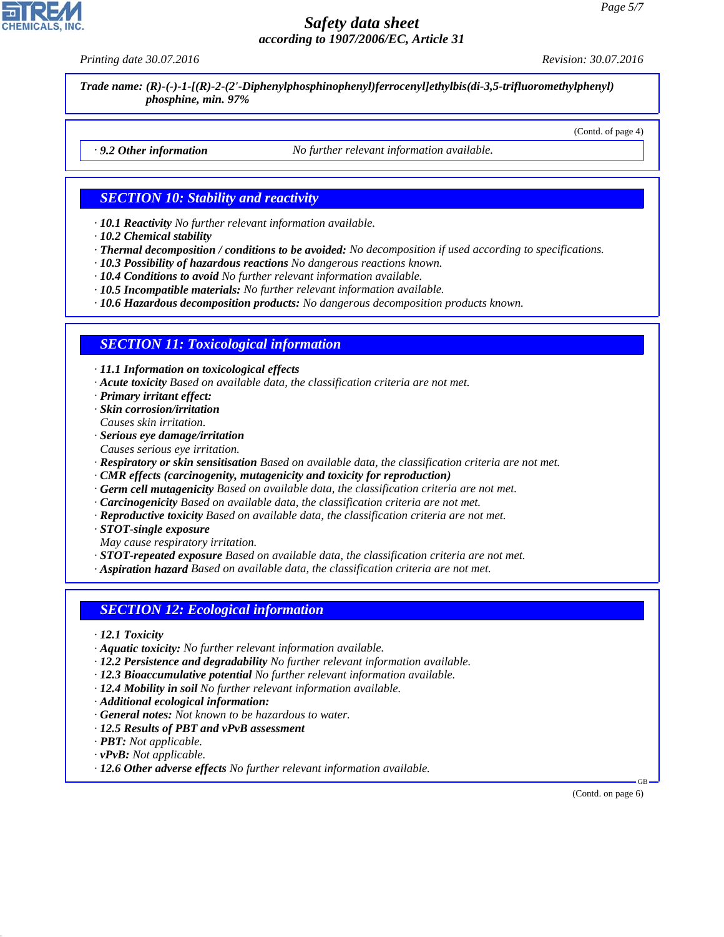*Printing date 30.07.2016 Revision: 30.07.2016*

(Contd. of page 4)

*Trade name: (R)-(-)-1-[(R)-2-(2'-Diphenylphosphinophenyl)ferrocenyl]ethylbis(di-3,5-trifluoromethylphenyl) phosphine, min. 97%*

*· 9.2 Other information No further relevant information available.*

## *SECTION 10: Stability and reactivity*

*· 10.1 Reactivity No further relevant information available.*

- *· 10.2 Chemical stability*
- *· Thermal decomposition / conditions to be avoided: No decomposition if used according to specifications.*
- *· 10.3 Possibility of hazardous reactions No dangerous reactions known.*
- *· 10.4 Conditions to avoid No further relevant information available.*
- *· 10.5 Incompatible materials: No further relevant information available.*
- *· 10.6 Hazardous decomposition products: No dangerous decomposition products known.*

#### *SECTION 11: Toxicological information*

*· 11.1 Information on toxicological effects*

- *· Acute toxicity Based on available data, the classification criteria are not met.*
- *· Primary irritant effect:*
- *· Skin corrosion/irritation Causes skin irritation.*
- *· Serious eye damage/irritation*
- *Causes serious eye irritation.*
- *· Respiratory or skin sensitisation Based on available data, the classification criteria are not met.*
- *· CMR effects (carcinogenity, mutagenicity and toxicity for reproduction)*
- *· Germ cell mutagenicity Based on available data, the classification criteria are not met.*
- *· Carcinogenicity Based on available data, the classification criteria are not met.*
- *· Reproductive toxicity Based on available data, the classification criteria are not met.*
- *· STOT-single exposure*
- *May cause respiratory irritation.*

*· STOT-repeated exposure Based on available data, the classification criteria are not met.*

*· Aspiration hazard Based on available data, the classification criteria are not met.*

#### *SECTION 12: Ecological information*

- *· 12.1 Toxicity*
- *· Aquatic toxicity: No further relevant information available.*
- *· 12.2 Persistence and degradability No further relevant information available.*
- *· 12.3 Bioaccumulative potential No further relevant information available.*
- *· 12.4 Mobility in soil No further relevant information available.*
- *· Additional ecological information:*
- *· General notes: Not known to be hazardous to water.*
- *· 12.5 Results of PBT and vPvB assessment*
- *· PBT: Not applicable.*
- *· vPvB: Not applicable.*
- *· 12.6 Other adverse effects No further relevant information available.*

(Contd. on page 6)

GB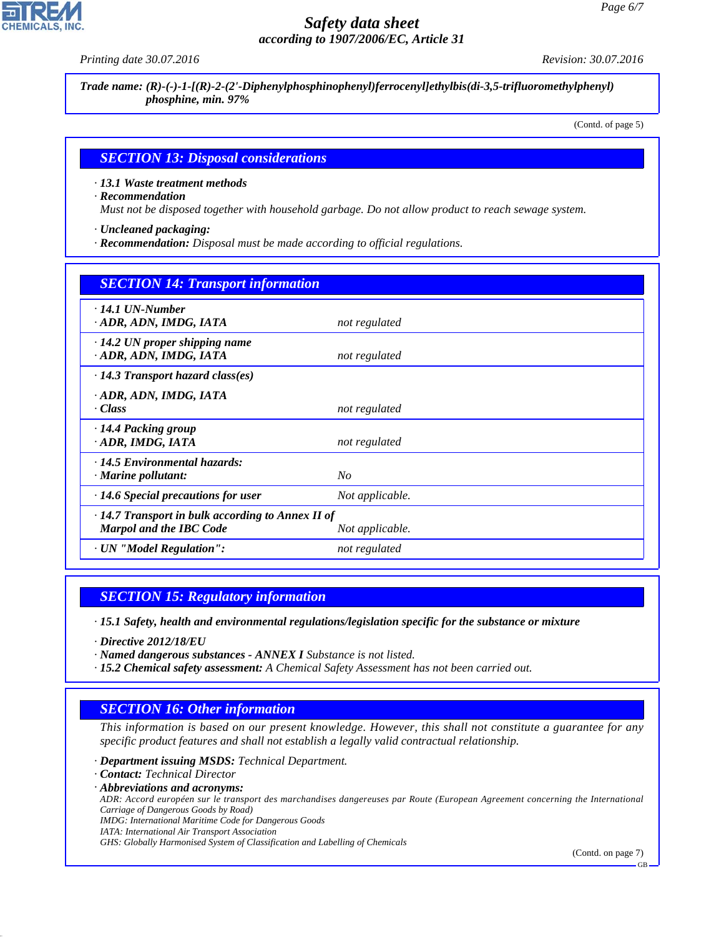*Printing date 30.07.2016 Revision: 30.07.2016*

*Trade name: (R)-(-)-1-[(R)-2-(2'-Diphenylphosphinophenyl)ferrocenyl]ethylbis(di-3,5-trifluoromethylphenyl) phosphine, min. 97%*

(Contd. of page 5)

#### *SECTION 13: Disposal considerations*

*· 13.1 Waste treatment methods*

*· Recommendation*

*Must not be disposed together with household garbage. Do not allow product to reach sewage system.*

*· Uncleaned packaging:*

*· Recommendation: Disposal must be made according to official regulations.*

| <b>SECTION 14: Transport information</b>                                                  |                 |
|-------------------------------------------------------------------------------------------|-----------------|
| $\cdot$ 14.1 UN-Number<br>· ADR, ADN, IMDG, IATA                                          | not regulated   |
| $\cdot$ 14.2 UN proper shipping name<br>· ADR, ADN, IMDG, IATA                            | not regulated   |
| $\cdot$ 14.3 Transport hazard class(es)                                                   |                 |
| · ADR, ADN, IMDG, IATA<br>· Class                                                         | not regulated   |
| $\cdot$ 14.4 Packing group<br>· ADR, IMDG, IATA                                           | not regulated   |
| · 14.5 Environmental hazards:<br>$\cdot$ Marine pollutant:                                | No              |
| $\cdot$ 14.6 Special precautions for user                                                 | Not applicable. |
| $\cdot$ 14.7 Transport in bulk according to Annex II of<br><b>Marpol and the IBC Code</b> | Not applicable. |
| · UN "Model Regulation":                                                                  | not regulated   |

## *SECTION 15: Regulatory information*

*· 15.1 Safety, health and environmental regulations/legislation specific for the substance or mixture*

*· Directive 2012/18/EU*

*· Named dangerous substances - ANNEX I Substance is not listed.*

*· 15.2 Chemical safety assessment: A Chemical Safety Assessment has not been carried out.*

# *SECTION 16: Other information*

*This information is based on our present knowledge. However, this shall not constitute a guarantee for any specific product features and shall not establish a legally valid contractual relationship.*

*· Department issuing MSDS: Technical Department.*

*· Contact: Technical Director*

*· Abbreviations and acronyms:*

*ADR: Accord européen sur le transport des marchandises dangereuses par Route (European Agreement concerning the International Carriage of Dangerous Goods by Road)*

*IMDG: International Maritime Code for Dangerous Goods*

*IATA: International Air Transport Association*

*GHS: Globally Harmonised System of Classification and Labelling of Chemicals*

(Contd. on page 7)

GB